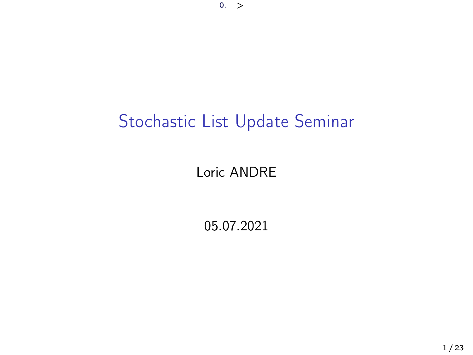# Stochastic List Update Seminar

#### Loric ANDRE

05.07.2021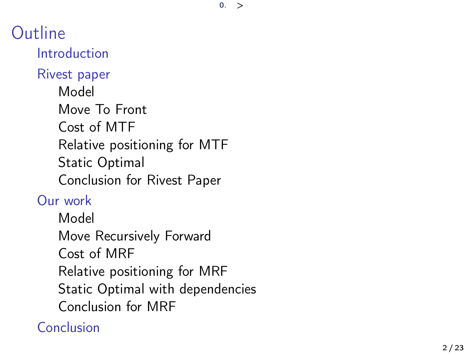$0.$ 

Outline [Introduction](#page-2-0) [Rivest paper](#page-3-0) [Model](#page-4-0) [Move To Front](#page-5-0) [Cost of MTF](#page-6-0) [Relative positioning for MTF](#page-7-0) [Static Optimal](#page-8-0) [Conclusion for Rivest Paper](#page-9-0) [Our work](#page-10-0) [Model](#page-11-0) [Move Recursively Forward](#page-12-0) [Cost of MRF](#page-13-0) [Relative positioning for MRF](#page-14-0) [Static Optimal with dependencies](#page-19-0) [Conclusion for MRF](#page-20-0) [Conclusion](#page-21-0)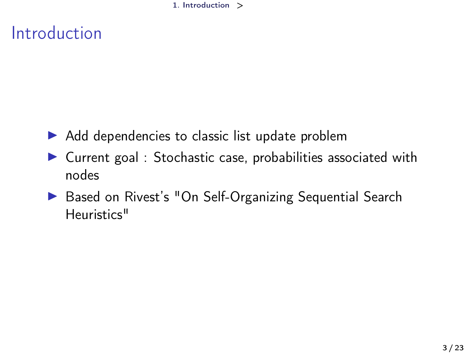1. [Introduction](#page-2-0) >

# <span id="page-2-0"></span>Introduction

- $\triangleright$  Add dependencies to classic list update problem
- $\triangleright$  Current goal : Stochastic case, probabilities associated with nodes
- ▶ Based on Rivest's "On Self-Organizing Sequential Search Heuristics"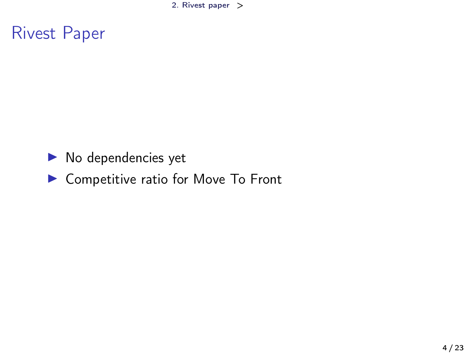2. [Rivest paper](#page-3-0) >

### <span id="page-3-0"></span>Rivest Paper

- $\blacktriangleright$  No dependencies yet
- ▶ Competitive ratio for Move To Front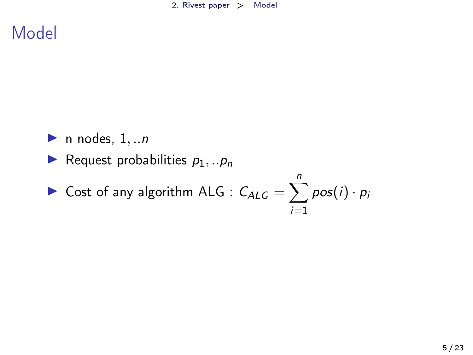<span id="page-4-0"></span>Model

- $\blacktriangleright$  n nodes,  $1, \ldots n$
- Request probabilities  $p_1, \ldots, p_n$

► Cost of any algorithm ALG : 
$$
C_{ALG} = \sum_{i=1}^{n} pos(i) \cdot p_i
$$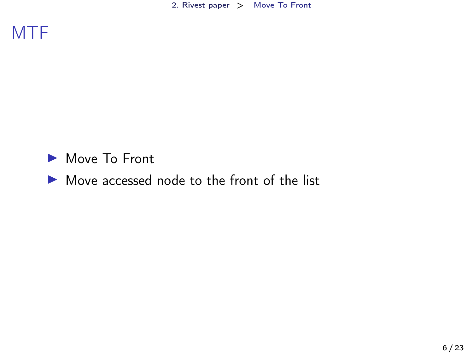2. [Rivest paper](#page-3-0) > [Move To Front](#page-5-0)

<span id="page-5-0"></span>

Move To Front

#### $\blacktriangleright$  Move accessed node to the front of the list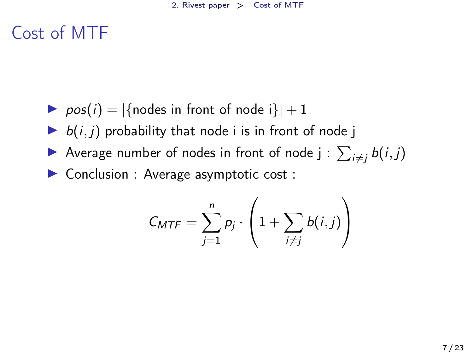# <span id="page-6-0"></span>Cost of MTF

- $\triangleright$  pos(i) = |{nodes in front of node i}| + 1
- $\blacktriangleright$   $b(i, j)$  probability that node i is in front of node j
- Average number of nodes in front of node  $j$  :  $\sum_{i \neq j} b(i, j)$
- ▶ Conclusion : Average asymptotic cost :

$$
C_{MTF} = \sum_{j=1}^{n} p_j \cdot \left(1 + \sum_{i \neq j} b(i,j)\right)
$$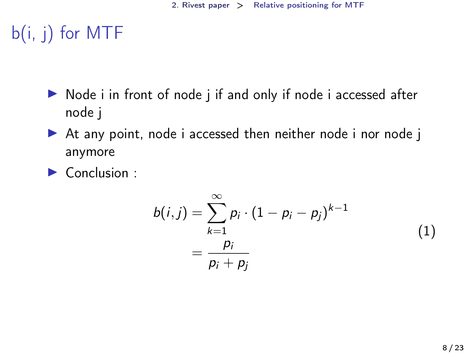# <span id="page-7-0"></span>b(i, j) for MTF

- $\triangleright$  Node i in front of node j if and only if node i accessed after node j
- ▶ At any point, node i accessed then neither node i nor node j anymore
- $\blacktriangleright$  Conclusion :

$$
b(i,j) = \sum_{k=1}^{\infty} p_i \cdot (1 - p_i - p_j)^{k-1} \\
= \frac{p_i}{p_i + p_j}
$$
\n(1)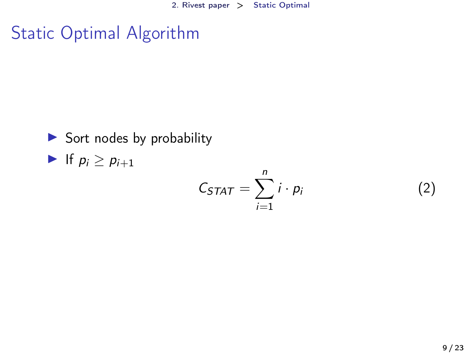### <span id="page-8-0"></span>Static Optimal Algorithm

 $\triangleright$  Sort nodes by probability If  $p_i \geq p_{i+1}$ 

$$
C_{STAT} = \sum_{i=1}^{n} i \cdot p_i \tag{2}
$$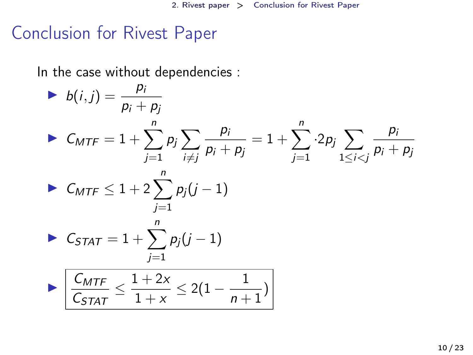### <span id="page-9-0"></span>Conclusion for Rivest Paper

In the case without dependencies :

► 
$$
b(i,j) = \frac{p_i}{p_i + p_j}
$$
  
\n►  $C_{MTF} = 1 + \sum_{j=1}^{n} p_j \sum_{i \neq j} \frac{p_i}{p_i + p_j} = 1 + \sum_{j=1}^{n} 2p_j \sum_{1 \leq i < j} \frac{p_i}{p_i + p_j}$   
\n►  $C_{MTF} \leq 1 + 2 \sum_{j=1}^{n} p_j (j - 1)$   
\n►  $C_{STAT} = 1 + \sum_{j=1}^{n} p_j (j - 1)$   
\n►  $\frac{C_{MTF}}{C_{STAT}} \leq \frac{1 + 2x}{1 + x} \leq 2(1 - \frac{1}{n + 1})$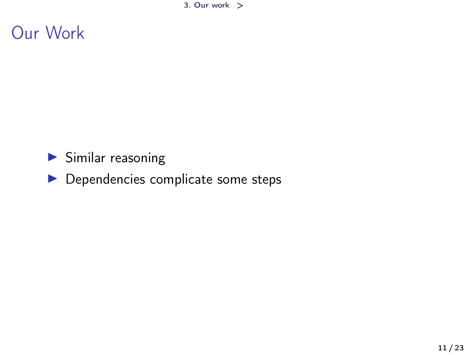3. [Our work](#page-10-0) >

### <span id="page-10-0"></span>Our Work

#### $\blacktriangleright$  Similar reasoning

#### $\blacktriangleright$  Dependencies complicate some steps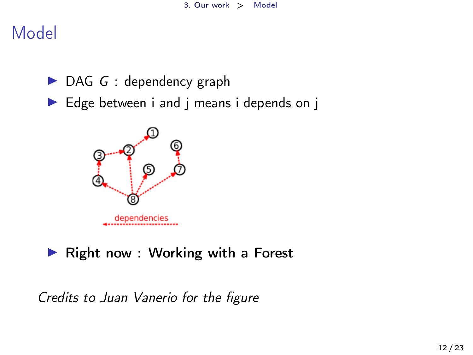### <span id="page-11-0"></span>Model

- $\triangleright$  DAG G : dependency graph
- $\blacktriangleright$  Edge between i and j means i depends on j



#### $\blacktriangleright$  Right now : Working with a Forest

Credits to Juan Vanerio for the figure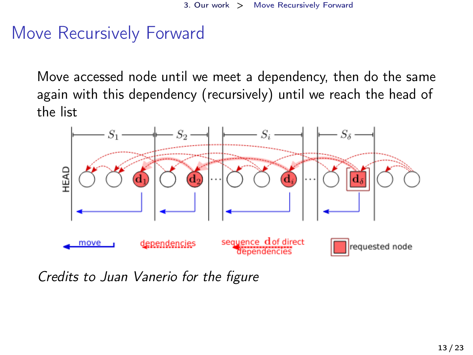### <span id="page-12-0"></span>Move Recursively Forward

Move accessed node until we meet a dependency, then do the same again with this dependency (recursively) until we reach the head of the list



Credits to Juan Vanerio for the figure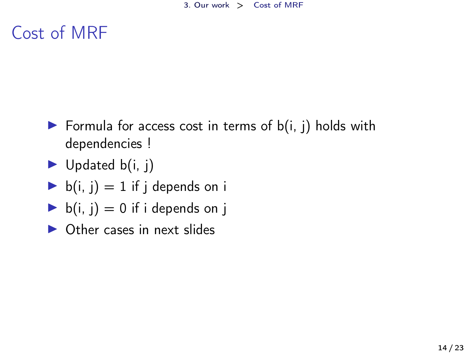## <span id="page-13-0"></span>Cost of MRF

- Formula for access cost in terms of  $b(i, j)$  holds with dependencies !
- $\blacktriangleright$  Updated b(i, j)
- $\blacktriangleright$  b(i, j) = 1 if j depends on i
- $\blacktriangleright$  b(i, j) = 0 if i depends on j
- $\triangleright$  Other cases in next slides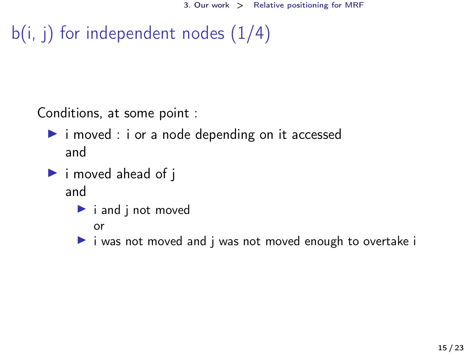```
b(i, i) for independent nodes (1/4)
```
Conditions, at some point :

- $\triangleright$  i moved : i or a node depending on it accessed and
- $\blacktriangleright$  i moved ahead of j and
	- $\blacktriangleright$  i and j not moved

or

 $\triangleright$  i was not moved and j was not moved enough to overtake i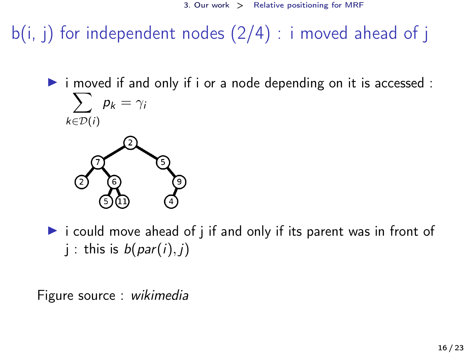$b(i, i)$  for independent nodes  $(2/4)$  : i moved ahead of j

 $\triangleright$  i moved if and only if i or a node depending on it is accessed :  $\sum p_k = \gamma_k$  $k \in \mathcal{D}(i)$ 



 $\triangleright$  i could move ahead of j if and only if its parent was in front of j : this is  $b(par(i), i)$ 

Figure source : wikimedia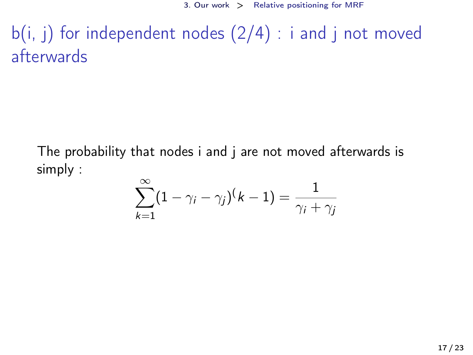$b(i, j)$  for independent nodes  $(2/4)$ : i and j not moved afterwards

The probability that nodes i and j are not moved afterwards is simply :

$$
\sum_{k=1}^{\infty} (1 - \gamma_i - \gamma_j)(k-1) = \frac{1}{\gamma_i + \gamma_j}
$$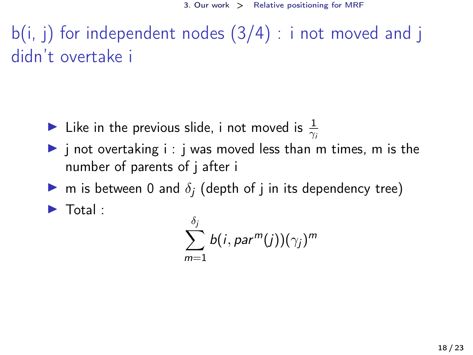$b(i, i)$  for independent nodes  $(3/4)$ : i not moved and j didn't overtake i

- If Like in the previous slide, i not moved is  $\frac{1}{\gamma_i}$
- $\triangleright$  j not overtaking i : j was moved less than m times, m is the number of parents of j after i
- $\triangleright$  m is between 0 and  $\delta_i$  (depth of j in its dependency tree)

 $\blacktriangleright$  Total :

$$
\sum_{m=1}^{\delta_j} b(i, par^m(j))(\gamma_j)^m
$$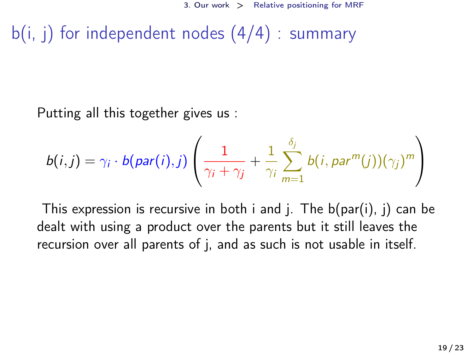$b(i, i)$  for independent nodes  $(4/4)$  : summary

Putting all this together gives us :

$$
b(i,j) = \gamma_i \cdot b(\text{par}(i),j) \left( \frac{1}{\gamma_i + \gamma_j} + \frac{1}{\gamma_i} \sum_{m=1}^{\delta_j} b(i,\text{par}^m(j))(\gamma_j)^m \right)
$$

This expression is recursive in both i and j. The  $b(par(i), j)$  can be dealt with using a product over the parents but it still leaves the recursion over all parents of j, and as such is not usable in itself.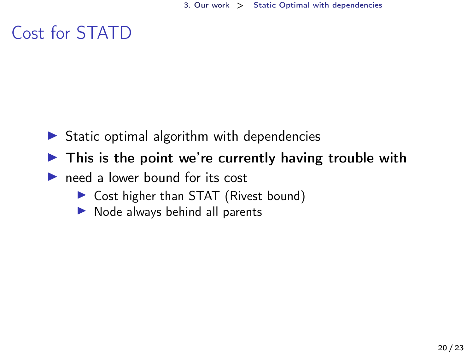# <span id="page-19-0"></span>Cost for STATD

- $\triangleright$  Static optimal algorithm with dependencies
- $\blacktriangleright$  This is the point we're currently having trouble with
- $\triangleright$  need a lower bound for its cost
	- ▶ Cost higher than STAT (Rivest bound)
	- $\triangleright$  Node always behind all parents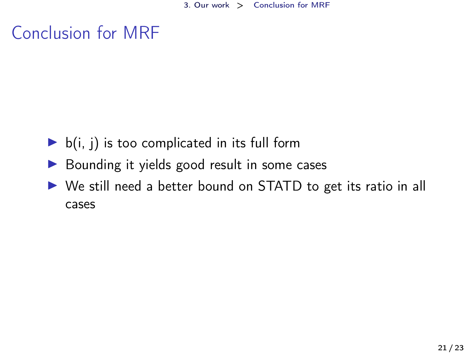# <span id="page-20-0"></span>Conclusion for MRF

- $\triangleright$  b(i, j) is too complicated in its full form
- $\triangleright$  Bounding it yields good result in some cases
- ▶ We still need a better bound on STATD to get its ratio in all cases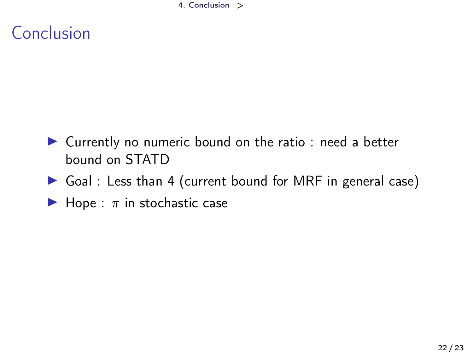4. [Conclusion](#page-21-0) >

# <span id="page-21-0"></span>Conclusion

- ▶ Currently no numeric bound on the ratio : need a better bound on STATD
- Goal : Less than 4 (current bound for MRF in general case)
- $\blacktriangleright$  Hope :  $\pi$  in stochastic case